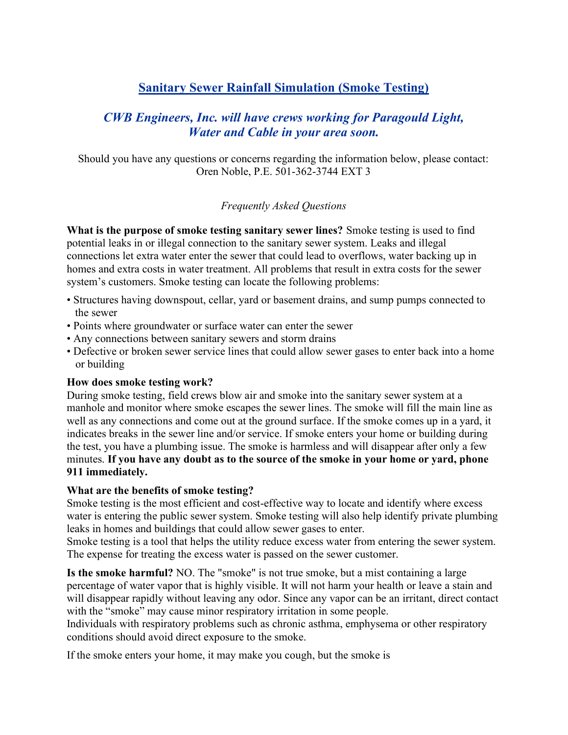# Sanitary Sewer Rainfall Simulation (Smoke Testing)

## CWB Engineers, Inc. will have crews working for Paragould Light, Water and Cable in your area soon.

Should you have any questions or concerns regarding the information below, please contact: Oren Noble, P.E. 501-362-3744 EXT 3

## Frequently Asked Questions

What is the purpose of smoke testing sanitary sewer lines? Smoke testing is used to find potential leaks in or illegal connection to the sanitary sewer system. Leaks and illegal connections let extra water enter the sewer that could lead to overflows, water backing up in homes and extra costs in water treatment. All problems that result in extra costs for the sewer system's customers. Smoke testing can locate the following problems:

- Structures having downspout, cellar, yard or basement drains, and sump pumps connected to the sewer
- Points where groundwater or surface water can enter the sewer
- Any connections between sanitary sewers and storm drains
- Defective or broken sewer service lines that could allow sewer gases to enter back into a home or building

## How does smoke testing work?

During smoke testing, field crews blow air and smoke into the sanitary sewer system at a manhole and monitor where smoke escapes the sewer lines. The smoke will fill the main line as well as any connections and come out at the ground surface. If the smoke comes up in a yard, it indicates breaks in the sewer line and/or service. If smoke enters your home or building during the test, you have a plumbing issue. The smoke is harmless and will disappear after only a few minutes. If you have any doubt as to the source of the smoke in your home or yard, phone 911 immediately.

## What are the benefits of smoke testing?

Smoke testing is the most efficient and cost-effective way to locate and identify where excess water is entering the public sewer system. Smoke testing will also help identify private plumbing leaks in homes and buildings that could allow sewer gases to enter.

Smoke testing is a tool that helps the utility reduce excess water from entering the sewer system. The expense for treating the excess water is passed on the sewer customer.

Is the smoke harmful? NO. The "smoke" is not true smoke, but a mist containing a large percentage of water vapor that is highly visible. It will not harm your health or leave a stain and will disappear rapidly without leaving any odor. Since any vapor can be an irritant, direct contact with the "smoke" may cause minor respiratory irritation in some people.

Individuals with respiratory problems such as chronic asthma, emphysema or other respiratory conditions should avoid direct exposure to the smoke.

If the smoke enters your home, it may make you cough, but the smoke is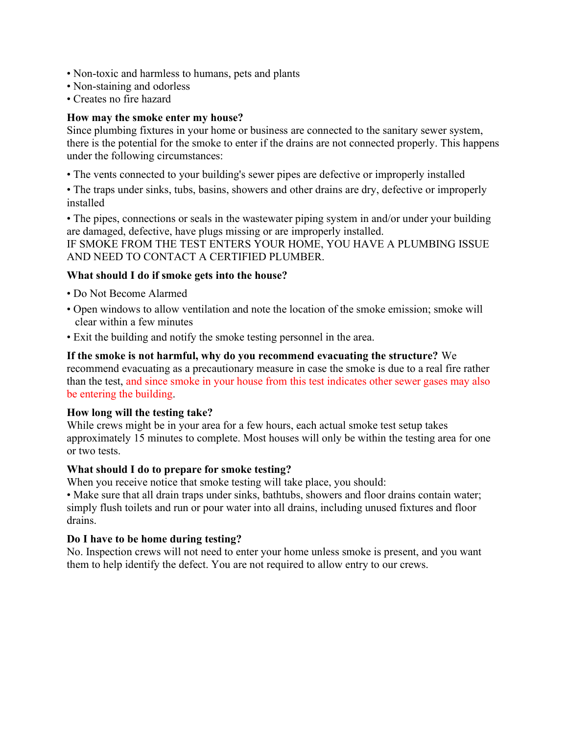- Non-toxic and harmless to humans, pets and plants
- Non-staining and odorless
- Creates no fire hazard

### How may the smoke enter my house?

Since plumbing fixtures in your home or business are connected to the sanitary sewer system, there is the potential for the smoke to enter if the drains are not connected properly. This happens under the following circumstances:

• The vents connected to your building's sewer pipes are defective or improperly installed

• The traps under sinks, tubs, basins, showers and other drains are dry, defective or improperly installed

• The pipes, connections or seals in the wastewater piping system in and/or under your building are damaged, defective, have plugs missing or are improperly installed.

IF SMOKE FROM THE TEST ENTERS YOUR HOME, YOU HAVE A PLUMBING ISSUE AND NEED TO CONTACT A CERTIFIED PLUMBER.

#### What should I do if smoke gets into the house?

- Do Not Become Alarmed
- Open windows to allow ventilation and note the location of the smoke emission; smoke will clear within a few minutes
- Exit the building and notify the smoke testing personnel in the area.

If the smoke is not harmful, why do you recommend evacuating the structure? We recommend evacuating as a precautionary measure in case the smoke is due to a real fire rather than the test, and since smoke in your house from this test indicates other sewer gases may also be entering the building.

#### How long will the testing take?

While crews might be in your area for a few hours, each actual smoke test setup takes approximately 15 minutes to complete. Most houses will only be within the testing area for one or two tests.

#### What should I do to prepare for smoke testing?

When you receive notice that smoke testing will take place, you should:

• Make sure that all drain traps under sinks, bathtubs, showers and floor drains contain water; simply flush toilets and run or pour water into all drains, including unused fixtures and floor drains.

#### Do I have to be home during testing?

No. Inspection crews will not need to enter your home unless smoke is present, and you want them to help identify the defect. You are not required to allow entry to our crews.